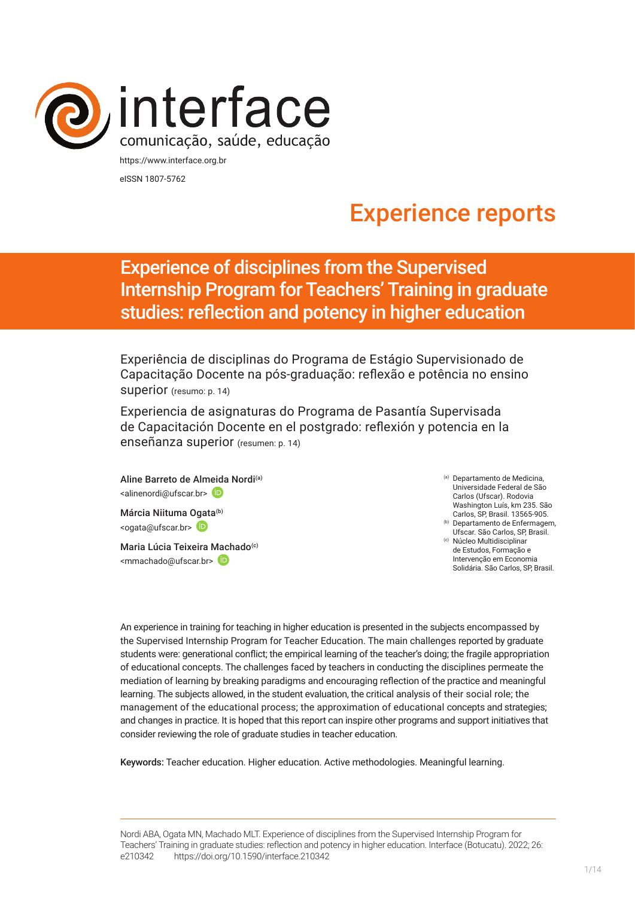

eISSN 1807-5762

# Experience reports

## Experience of disciplines from the Supervised Internship Program for Teachers' Training in graduate studies: reflection and potency in higher education

Experiência de disciplinas do Programa de Estágio Supervisionado de Capacitação Docente na pós-graduação: reflexão e potência no ensino superior (resumo: p. 14)

Experiencia de asignaturas do Programa de Pasantía Supervisada de Capacitación Docente en el postgrado: reflexión y potencia en la enseñanza superior (resumen: p. 14)

Aline Barreto de Al[meida](http://orcid.org/0000-0003-0262-9796) Nordi<sup>(a)</sup> <alinenordi@ufscar.br>

Márcia Niituma Ogata<sup>(b)</sup> <ogata@ufscar.br> (D

Maria Lúcia Teixeira [Mach](https://orcid.org/0000-0002-5114-9601)ado<sup>(c)</sup> <mmachado@ufscar.br>

(a) Departamento de Medicina, Universidade Federal de São Carlos (Ufscar). Rodovia Washington Luís, km 235. São Carlos, SP, Brasil. 13565-905. (b) Departamento de Enfermagem,

Ufscar. São Carlos, SP, Brasil. (c) Núcleo Multidisciplinar

de Estudos, Formação e Intervenção em Economia Solidária. São Carlos, SP, Brasil.

An experience in training for teaching in higher education is presented in the subjects encompassed by the Supervised Internship Program for Teacher Education. The main challenges reported by graduate students were: generational conflict; the empirical learning of the teacher's doing; the fragile appropriation of educational concepts. The challenges faced by teachers in conducting the disciplines permeate the mediation of learning by breaking paradigms and encouraging reflection of the practice and meaningful learning. The subjects allowed, in the student evaluation, the critical analysis of their social role; the management of the educational process; the approximation of educational concepts and strategies; and changes in practice. It is hoped that this report can inspire other programs and support initiatives that consider reviewing the role of graduate studies in teacher education.

Keywords: Teacher education. Higher education. Active methodologies. Meaningful learning.

Nordi ABA, Ogata MN, Machado MLT. Experience of disciplines from the Supervised Internship Program for Teachers' Training in graduate studies: reflection and potency in higher education. Interface (Botucatu). 2022; 26: e210342 [https://d](https://10.11606/S1518-787.201805200XXXX)oi.org/10.1590/interface.210342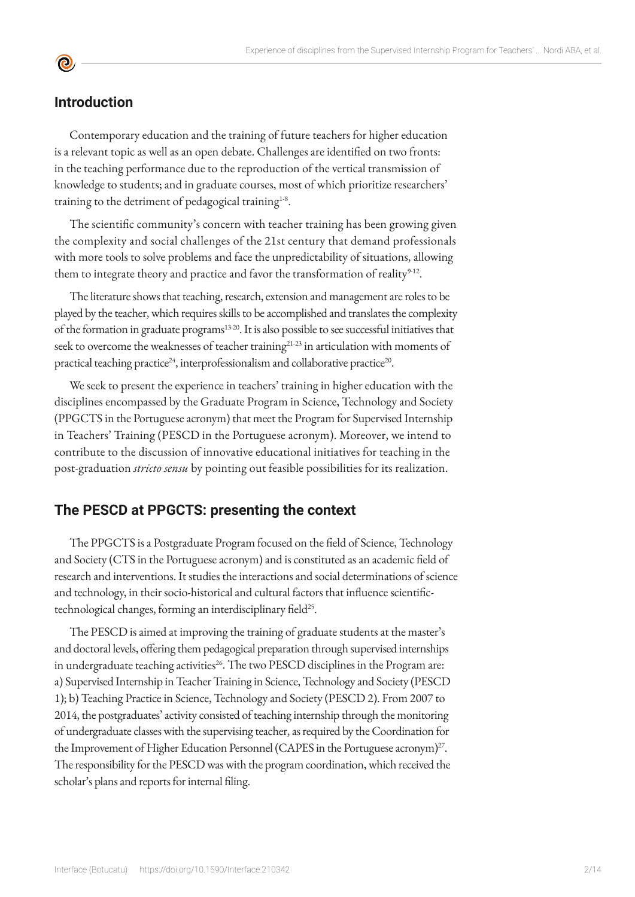## **Introduction**

<u>ල</u>

Contemporary education and the training of future teachers for higher education is a relevant topic as well as an open debate. Challenges are identified on two fronts: in the teaching performance due to the reproduction of the vertical transmission of knowledge to students; and in graduate courses, most of which prioritize researchers' training to the detriment of pedagogical training<sup>1.8</sup>.

The scientific community's concern with teacher training has been growing given the complexity and social challenges of the 21st century that demand professionals with more tools to solve problems and face the unpredictability of situations, allowing them to integrate theory and practice and favor the transformation of reality<sup>9-12</sup>.

The literature shows that teaching, research, extension and management are roles to be played by the teacher, which requires skills to be accomplished and translates the complexity of the formation in graduate programs<sup>13-20</sup>. It is also possible to see successful initiatives that seek to overcome the weaknesses of teacher training<sup>21-23</sup> in articulation with moments of practical teaching practice<sup>24</sup>, interprofessionalism and collaborative practice<sup>20</sup>.

We seek to present the experience in teachers' training in higher education with the disciplines encompassed by the Graduate Program in Science, Technology and Society (PPGCTS in the Portuguese acronym) that meet the Program for Supervised Internship in Teachers' Training (PESCD in the Portuguese acronym). Moreover, we intend to contribute to the discussion of innovative educational initiatives for teaching in the post-graduation *stricto sensu* by pointing out feasible possibilities for its realization.

## **The PESCD at PPGCTS: presenting the context**

The PPGCTS is a Postgraduate Program focused on the field of Science, Technology and Society (CTS in the Portuguese acronym) and is constituted as an academic field of research and interventions. It studies the interactions and social determinations of science and technology, in their socio-historical and cultural factors that influence scientifictechnological changes, forming an interdisciplinary field<sup>25</sup>.

The PESCD is aimed at improving the training of graduate students at the master's and doctoral levels, offering them pedagogical preparation through supervised internships in undergraduate teaching activities<sup>26</sup>. The two PESCD disciplines in the Program are: a) Supervised Internship in Teacher Training in Science, Technology and Society (PESCD 1); b) Teaching Practice in Science, Technology and Society (PESCD 2). From 2007 to 2014, the postgraduates' activity consisted of teaching internship through the monitoring of undergraduate classes with the supervising teacher, as required by the Coordination for the Improvement of Higher Education Personnel (CAPES in the Portuguese acronym) $^{27}$ . The responsibility for the PESCD was with the program coordination, which received the scholar's plans and reports for internal filing.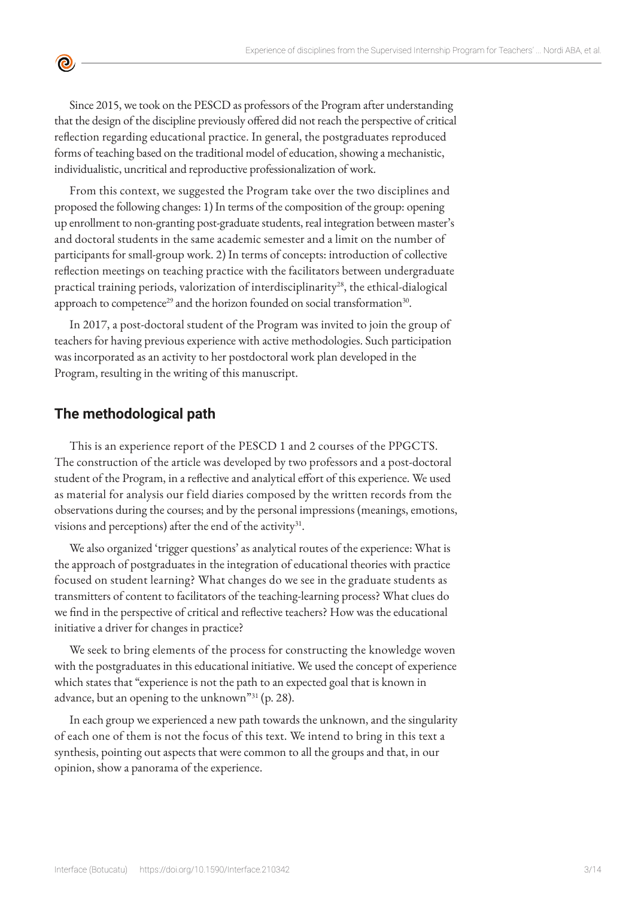Since 2015, we took on the PESCD as professors of the Program after understanding that the design of the discipline previously offered did not reach the perspective of critical reflection regarding educational practice. In general, the postgraduates reproduced forms of teaching based on the traditional model of education, showing a mechanistic, individualistic, uncritical and reproductive professionalization of work.

From this context, we suggested the Program take over the two disciplines and proposed the following changes: 1) In terms of the composition of the group: opening up enrollment to non-granting post-graduate students, real integration between master's and doctoral students in the same academic semester and a limit on the number of participants for small-group work. 2) In terms of concepts: introduction of collective reflection meetings on teaching practice with the facilitators between undergraduate practical training periods, valorization of interdisciplinarity<sup>28</sup>, the ethical-dialogical approach to competence<sup>29</sup> and the horizon founded on social transformation<sup>30</sup>.

In 2017, a post-doctoral student of the Program was invited to join the group of teachers for having previous experience with active methodologies. Such participation was incorporated as an activity to her postdoctoral work plan developed in the Program, resulting in the writing of this manuscript.

## **The methodological path**

 $\bullet$ 

This is an experience report of the PESCD 1 and 2 courses of the PPGCTS. The construction of the article was developed by two professors and a post-doctoral student of the Program, in a reflective and analytical effort of this experience. We used as material for analysis our field diaries composed by the written records from the observations during the courses; and by the personal impressions (meanings, emotions, visions and perceptions) after the end of the activity $3^1$ .

We also organized 'trigger questions' as analytical routes of the experience: What is the approach of postgraduates in the integration of educational theories with practice focused on student learning? What changes do we see in the graduate students as transmitters of content to facilitators of the teaching-learning process? What clues do we find in the perspective of critical and reflective teachers? How was the educational initiative a driver for changes in practice?

We seek to bring elements of the process for constructing the knowledge woven with the postgraduates in this educational initiative. We used the concept of experience which states that "experience is not the path to an expected goal that is known in advance, but an opening to the unknown"31 (p. 28).

In each group we experienced a new path towards the unknown, and the singularity of each one of them is not the focus of this text. We intend to bring in this text a synthesis, pointing out aspects that were common to all the groups and that, in our opinion, show a panorama of the experience.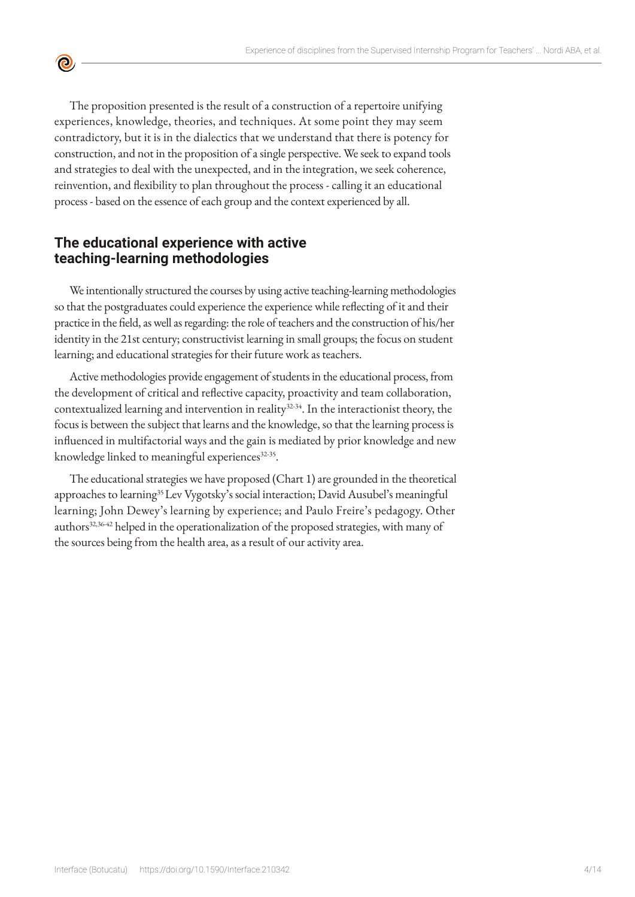The proposition presented is the result of a construction of a repertoire unifying experiences, knowledge, theories, and techniques. At some point they may seem contradictory, but it is in the dialectics that we understand that there is potency for construction, and not in the proposition of a single perspective. We seek to expand tools and strategies to deal with the unexpected, and in the integration, we seek coherence, reinvention, and flexibility to plan throughout the process - calling it an educational process - based on the essence of each group and the context experienced by all.

## **The educational experience with active teaching-learning methodologies**

 $\bullet$ 

We intentionally structured the courses by using active teaching-learning methodologies so that the postgraduates could experience the experience while reflecting of it and their practice in the field, as well as regarding: the role of teachers and the construction of his/her identity in the 21st century; constructivist learning in small groups; the focus on student learning; and educational strategies for their future work as teachers.

Active methodologies provide engagement of students in the educational process, from the development of critical and reflective capacity, proactivity and team collaboration, contextualized learning and intervention in reality<sup>32.34</sup>. In the interactionist theory, the focus is between the subject that learns and the knowledge, so that the learning process is influenced in multifactorial ways and the gain is mediated by prior knowledge and new knowledge linked to meaningful experiences<sup>32-35</sup>.

The educational strategies we have proposed (Chart 1) are grounded in the theoretical approaches to learning<sup>35</sup> Lev Vygotsky's social interaction; David Ausubel's meaningful learning; John Dewey's learning by experience; and Paulo Freire's pedagogy. Other authors<sup>32,3642</sup> helped in the operationalization of the proposed strategies, with many of the sources being from the health area, as a result of our activity area.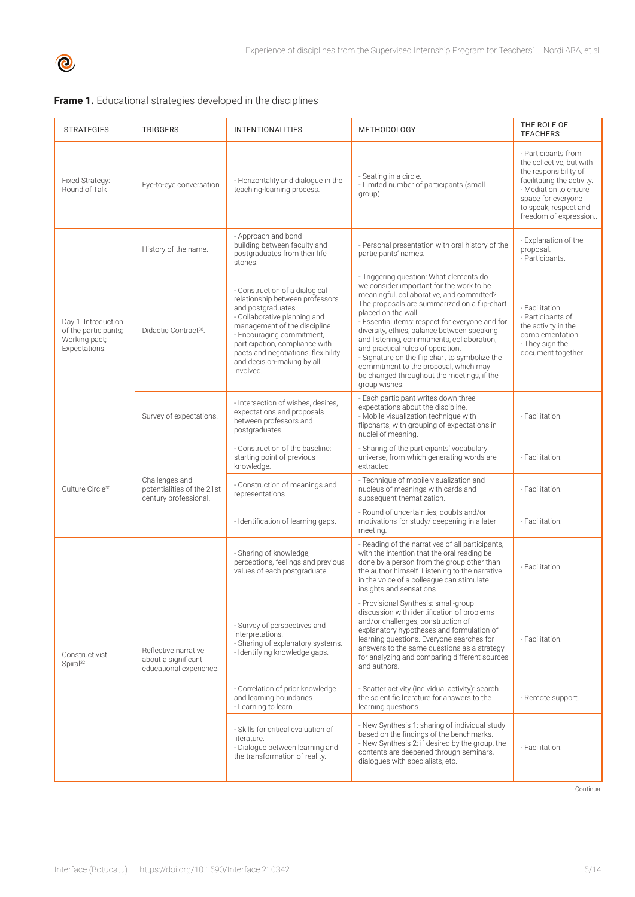

|  | Frame 1. Educational strategies developed in the disciplines |  |  |  |  |  |
|--|--------------------------------------------------------------|--|--|--|--|--|
|--|--------------------------------------------------------------|--|--|--|--|--|

| <b>STRATEGIES</b>                                                             | <b>TRIGGERS</b>                                                        | <b>INTENTIONALITIES</b>                                                                                                                                                                                                                                                                                   | <b>METHODOLOGY</b>                                                                                                                                                                                                                                                                                                                                                                                                                                                                                                                                     | THE ROLE OF<br><b>TEACHERS</b>                                                                                                                                                                          |  |
|-------------------------------------------------------------------------------|------------------------------------------------------------------------|-----------------------------------------------------------------------------------------------------------------------------------------------------------------------------------------------------------------------------------------------------------------------------------------------------------|--------------------------------------------------------------------------------------------------------------------------------------------------------------------------------------------------------------------------------------------------------------------------------------------------------------------------------------------------------------------------------------------------------------------------------------------------------------------------------------------------------------------------------------------------------|---------------------------------------------------------------------------------------------------------------------------------------------------------------------------------------------------------|--|
| Fixed Strategy:<br>Round of Talk                                              | Eye-to-eye conversation.                                               | - Horizontality and dialogue in the<br>teaching-learning process.                                                                                                                                                                                                                                         | - Seating in a circle.<br>- Limited number of participants (small<br>group).                                                                                                                                                                                                                                                                                                                                                                                                                                                                           | - Participants from<br>the collective, but with<br>the responsibility of<br>facilitating the activity.<br>- Mediation to ensure<br>space for everyone<br>to speak, respect and<br>freedom of expression |  |
| Day 1: Introduction<br>of the participants;<br>Working pact;<br>Expectations. | History of the name.                                                   | - Approach and bond<br>building between faculty and<br>postgraduates from their life<br>stories.                                                                                                                                                                                                          | - Personal presentation with oral history of the<br>participants' names.                                                                                                                                                                                                                                                                                                                                                                                                                                                                               | - Explanation of the<br>proposal.<br>- Participants.                                                                                                                                                    |  |
|                                                                               | Didactic Contract <sup>36</sup> .                                      | - Construction of a dialogical<br>relationship between professors<br>and postgraduates.<br>- Collaborative planning and<br>management of the discipline.<br>- Encouraging commitment,<br>participation, compliance with<br>pacts and negotiations, flexibility<br>and decision-making by all<br>involved. | - Triggering question: What elements do<br>we consider important for the work to be<br>meaningful, collaborative, and committed?<br>The proposals are summarized on a flip-chart<br>placed on the wall.<br>- Essential items: respect for everyone and for<br>diversity, ethics, balance between speaking<br>and listening, commitments, collaboration,<br>and practical rules of operation.<br>- Signature on the flip chart to symbolize the<br>commitment to the proposal, which may<br>be changed throughout the meetings, if the<br>group wishes. | - Facilitation.<br>- Participants of<br>the activity in the<br>complementation.<br>- They sign the<br>document together.                                                                                |  |
|                                                                               | Survey of expectations.                                                | - Intersection of wishes, desires,<br>expectations and proposals<br>between professors and<br>postgraduates.                                                                                                                                                                                              | - Each participant writes down three<br>expectations about the discipline.<br>- Mobile visualization technique with<br>flipcharts, with grouping of expectations in<br>nuclei of meaning.                                                                                                                                                                                                                                                                                                                                                              | - Facilitation.                                                                                                                                                                                         |  |
| Culture Circle <sup>30</sup>                                                  | Challenges and<br>potentialities of the 21st<br>century professional.  | - Construction of the baseline:<br>starting point of previous<br>knowledge.                                                                                                                                                                                                                               | - Sharing of the participants' vocabulary<br>universe, from which generating words are<br>extracted.                                                                                                                                                                                                                                                                                                                                                                                                                                                   | - Facilitation.                                                                                                                                                                                         |  |
|                                                                               |                                                                        | - Construction of meanings and<br>representations.                                                                                                                                                                                                                                                        | - Technique of mobile visualization and<br>nucleus of meanings with cards and<br>subsequent thematization.                                                                                                                                                                                                                                                                                                                                                                                                                                             | - Facilitation.                                                                                                                                                                                         |  |
|                                                                               |                                                                        | - Identification of learning gaps.                                                                                                                                                                                                                                                                        | - Round of uncertainties, doubts and/or<br>motivations for study/ deepening in a later<br>meeting.                                                                                                                                                                                                                                                                                                                                                                                                                                                     | - Facilitation.                                                                                                                                                                                         |  |
| Constructivist<br>Spiral <sup>32</sup>                                        |                                                                        | - Sharing of knowledge,<br>perceptions, feelings and previous<br>values of each postgraduate.                                                                                                                                                                                                             | - Reading of the narratives of all participants,<br>with the intention that the oral reading be<br>done by a person from the group other than<br>the author himself. Listening to the narrative<br>in the voice of a colleague can stimulate<br>insights and sensations.                                                                                                                                                                                                                                                                               | - Facilitation.                                                                                                                                                                                         |  |
|                                                                               | Reflective narrative<br>about a significant<br>educational experience. | - Survey of perspectives and<br>interpretations.<br>- Sharing of explanatory systems.<br>- Identifying knowledge gaps.                                                                                                                                                                                    | - Provisional Synthesis: small-group<br>discussion with identification of problems<br>and/or challenges, construction of<br>explanatory hypotheses and formulation of<br>learning questions. Everyone searches for<br>answers to the same questions as a strategy<br>for analyzing and comparing different sources<br>and authors.                                                                                                                                                                                                                     | - Facilitation.                                                                                                                                                                                         |  |
|                                                                               |                                                                        | - Correlation of prior knowledge<br>and learning boundaries.<br>- Learning to learn.                                                                                                                                                                                                                      | - Scatter activity (individual activity): search<br>the scientific literature for answers to the<br>learning questions.                                                                                                                                                                                                                                                                                                                                                                                                                                | - Remote support.                                                                                                                                                                                       |  |
|                                                                               |                                                                        | - Skills for critical evaluation of<br>literature.<br>- Dialogue between learning and<br>the transformation of reality.                                                                                                                                                                                   | - New Synthesis 1: sharing of individual study<br>based on the findings of the benchmarks.<br>- New Synthesis 2: if desired by the group, the<br>contents are deepened through seminars,<br>dialogues with specialists, etc.                                                                                                                                                                                                                                                                                                                           | - Facilitation.                                                                                                                                                                                         |  |

Continua.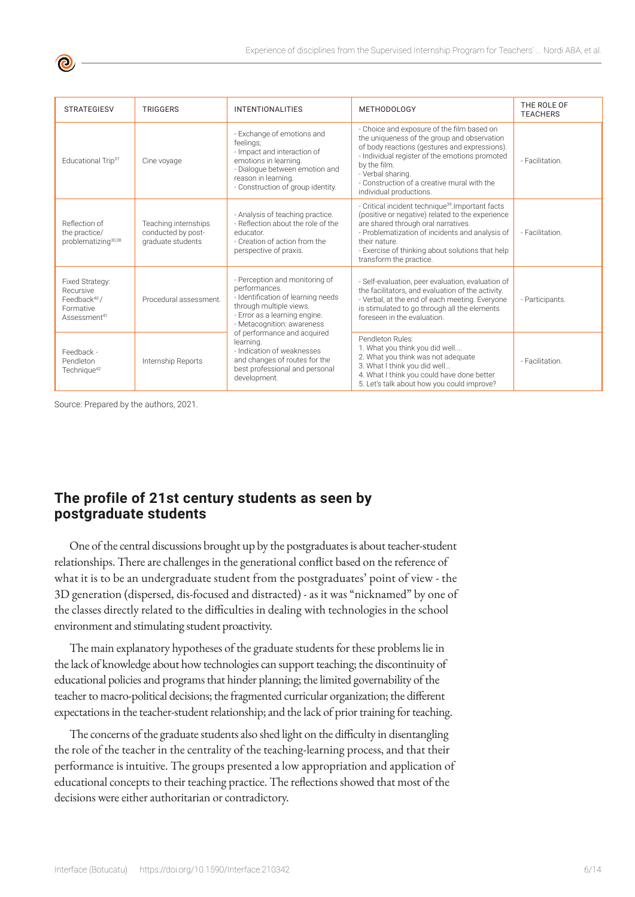| <b>STRATEGIESV</b>                                                                                | <b>TRIGGERS</b>                                                 | <b>INTENTIONALITIES</b>                                                                                                                                                                       | <b>METHODOLOGY</b>                                                                                                                                                                                                                                                                                          | THE ROLE OF<br><b>TEACHERS</b> |
|---------------------------------------------------------------------------------------------------|-----------------------------------------------------------------|-----------------------------------------------------------------------------------------------------------------------------------------------------------------------------------------------|-------------------------------------------------------------------------------------------------------------------------------------------------------------------------------------------------------------------------------------------------------------------------------------------------------------|--------------------------------|
| Educational Trip <sup>37</sup>                                                                    | Cine voyage                                                     | - Exchange of emotions and<br>feelings;<br>- Impact and interaction of<br>emotions in learning.<br>- Dialogue between emotion and<br>reason in learning.<br>- Construction of group identity. | - Choice and exposure of the film based on<br>the uniqueness of the group and observation<br>of body reactions (gestures and expressions).<br>- Individual register of the emotions promoted<br>by the film.<br>- Verbal sharing.<br>- Construction of a creative mural with the<br>individual productions. | - Facilitation.                |
| Reflection of<br>the practice/<br>problematizing <sup>30,38</sup>                                 | Teaching internships<br>conducted by post-<br>graduate students | - Analysis of teaching practice.<br>- Reflection about the role of the<br>educator.<br>- Creation of action from the<br>perspective of praxis.                                                | - Critical incident technique <sup>39</sup> . Important facts<br>(positive or negative) related to the experience<br>are shared through oral narratives.<br>- Problematization of incidents and analysis of<br>their nature.<br>- Exercise of thinking about solutions that help<br>transform the practice. | - Facilitation.                |
| Fixed Strategy:<br>Recursive<br>Feedback <sup>40</sup> /<br>Formative<br>Assessment <sup>41</sup> | Procedural assessment.                                          | - Perception and monitoring of<br>performances.<br>- Identification of learning needs<br>through multiple views.<br>- Error as a learning engine.<br>- Metacognition: awareness               | - Self-evaluation, peer evaluation, evaluation of<br>the facilitators, and evaluation of the activity.<br>- Verbal, at the end of each meeting. Everyone<br>is stimulated to go through all the elements<br>foreseen in the evaluation.                                                                     | - Participants.                |
| Feedback -<br>Pendleton<br>Technique <sup>42</sup>                                                | Internship Reports                                              | of performance and acquired<br>learning.<br>- Indication of weaknesses<br>and changes of routes for the<br>best professional and personal<br>development.                                     | Pendleton Rules:<br>1. What you think you did well<br>2. What you think was not adequate<br>3. What I think you did well<br>4. What I think you could have done better<br>5. Let's talk about how you could improve?                                                                                        | - Facilitation.                |

Source: Prepared by the authors, 2021.

## **The profile of 21st century students as seen by postgraduate students**

One of the central discussions brought up by the postgraduates is about teacher-student relationships. There are challenges in the generational conflict based on the reference of what it is to be an undergraduate student from the postgraduates' point of view - the 3D generation (dispersed, dis-focused and distracted) - as it was "nicknamed" by one of the classes directly related to the difficulties in dealing with technologies in the school environment and stimulating student proactivity.

The main explanatory hypotheses of the graduate students for these problems lie in the lack of knowledge about how technologies can support teaching; the discontinuity of educational policies and programs that hinder planning; the limited governability of the teacher to macro-political decisions; the fragmented curricular organization; the different expectations in the teacher-student relationship; and the lack of prior training for teaching.

The concerns of the graduate students also shed light on the difficulty in disentangling the role of the teacher in the centrality of the teaching-learning process, and that their performance is intuitive. The groups presented a low appropriation and application of educational concepts to their teaching practice. The reflections showed that most of the decisions were either authoritarian or contradictory.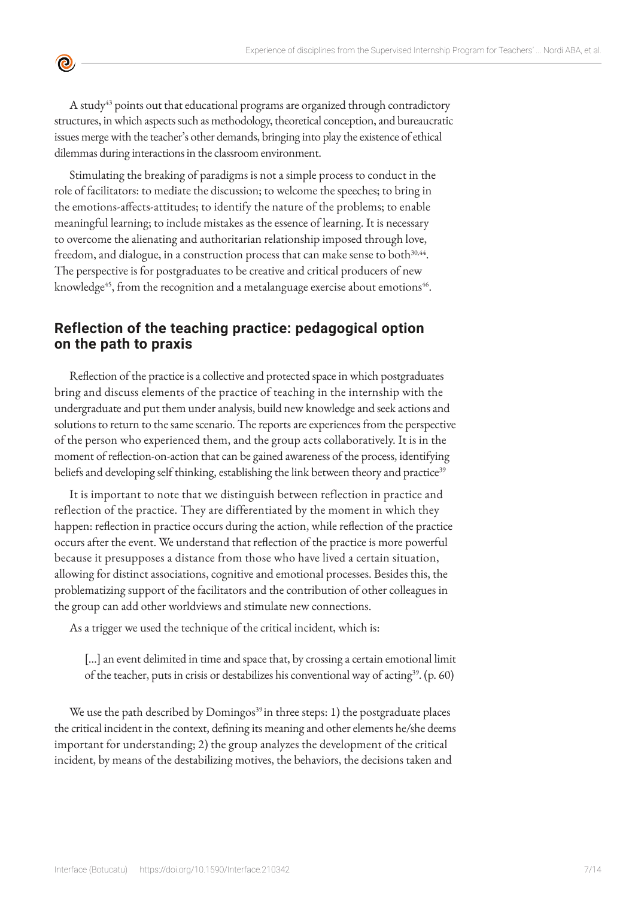A study<sup>43</sup> points out that educational programs are organized through contradictory structures, in which aspects such as methodology, theoretical conception, and bureaucratic issues merge with the teacher's other demands, bringing into play the existence of ethical dilemmas during interactions in the classroom environment.

 $\bullet$ 

Stimulating the breaking of paradigms is not a simple process to conduct in the role of facilitators: to mediate the discussion; to welcome the speeches; to bring in the emotions-affects-attitudes; to identify the nature of the problems; to enable meaningful learning; to include mistakes as the essence of learning. It is necessary to overcome the alienating and authoritarian relationship imposed through love, freedom, and dialogue, in a construction process that can make sense to both $30,44$ . The perspective is for postgraduates to be creative and critical producers of new knowledge<sup>45</sup>, from the recognition and a metalanguage exercise about emotions<sup>46</sup>.

## **Reflection of the teaching practice: pedagogical option on the path to praxis**

Reflection of the practice is a collective and protected space in which postgraduates bring and discuss elements of the practice of teaching in the internship with the undergraduate and put them under analysis, build new knowledge and seek actions and solutions to return to the same scenario. The reports are experiences from the perspective of the person who experienced them, and the group acts collaboratively. It is in the moment of reflection-on-action that can be gained awareness of the process, identifying beliefs and developing self thinking, establishing the link between theory and practice<sup>39</sup>

It is important to note that we distinguish between reflection in practice and reflection of the practice. They are differentiated by the moment in which they happen: reflection in practice occurs during the action, while reflection of the practice occurs after the event. We understand that reflection of the practice is more powerful because it presupposes a distance from those who have lived a certain situation, allowing for distinct associations, cognitive and emotional processes. Besides this, the problematizing support of the facilitators and the contribution of other colleagues in the group can add other worldviews and stimulate new connections.

As a trigger we used the technique of the critical incident, which is:

[…] an event delimited in time and space that, by crossing a certain emotional limit of the teacher, puts in crisis or destabilizes his conventional way of acting<sup>39</sup>. (p. 60)

We use the path described by Domingos<sup>39</sup> in three steps: 1) the postgraduate places the critical incident in the context, defining its meaning and other elements he/she deems important for understanding; 2) the group analyzes the development of the critical incident, by means of the destabilizing motives, the behaviors, the decisions taken and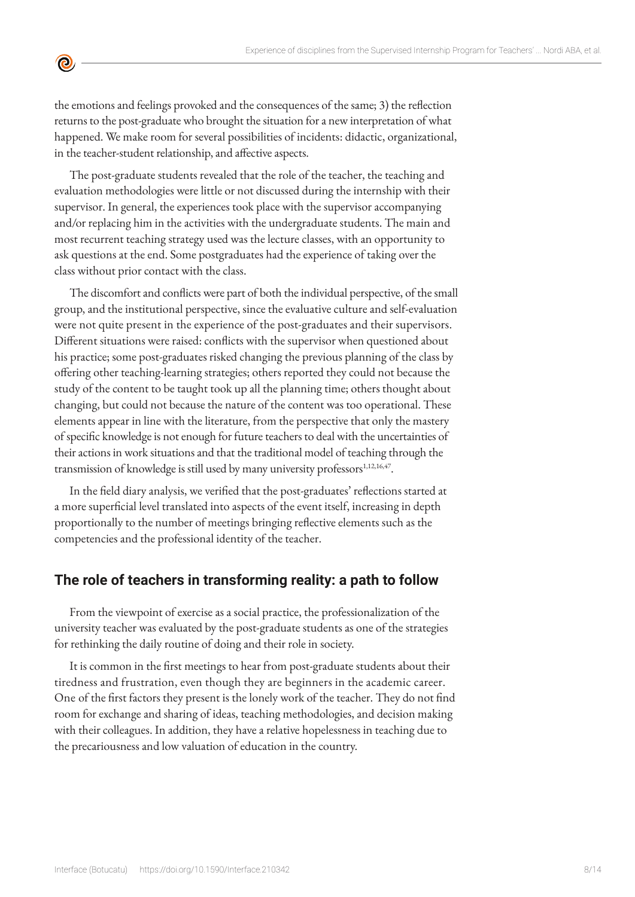

 $\bullet$ 

The post-graduate students revealed that the role of the teacher, the teaching and evaluation methodologies were little or not discussed during the internship with their supervisor. In general, the experiences took place with the supervisor accompanying and/or replacing him in the activities with the undergraduate students. The main and most recurrent teaching strategy used was the lecture classes, with an opportunity to ask questions at the end. Some postgraduates had the experience of taking over the class without prior contact with the class.

The discomfort and conflicts were part of both the individual perspective, of the small group, and the institutional perspective, since the evaluative culture and self-evaluation were not quite present in the experience of the post-graduates and their supervisors. Different situations were raised: conflicts with the supervisor when questioned about his practice; some post-graduates risked changing the previous planning of the class by offering other teaching-learning strategies; others reported they could not because the study of the content to be taught took up all the planning time; others thought about changing, but could not because the nature of the content was too operational. These elements appear in line with the literature, from the perspective that only the mastery of specific knowledge is not enough for future teachers to deal with the uncertainties of their actions in work situations and that the traditional model of teaching through the transmission of knowledge is still used by many university professors<sup>1,12,16,47</sup>.

In the field diary analysis, we verified that the post-graduates' reflections started at a more superficial level translated into aspects of the event itself, increasing in depth proportionally to the number of meetings bringing reflective elements such as the competencies and the professional identity of the teacher.

## **The role of teachers in transforming reality: a path to follow**

From the viewpoint of exercise as a social practice, the professionalization of the university teacher was evaluated by the post-graduate students as one of the strategies for rethinking the daily routine of doing and their role in society.

It is common in the first meetings to hear from post-graduate students about their tiredness and frustration, even though they are beginners in the academic career. One of the first factors they present is the lonely work of the teacher. They do not find room for exchange and sharing of ideas, teaching methodologies, and decision making with their colleagues. In addition, they have a relative hopelessness in teaching due to the precariousness and low valuation of education in the country.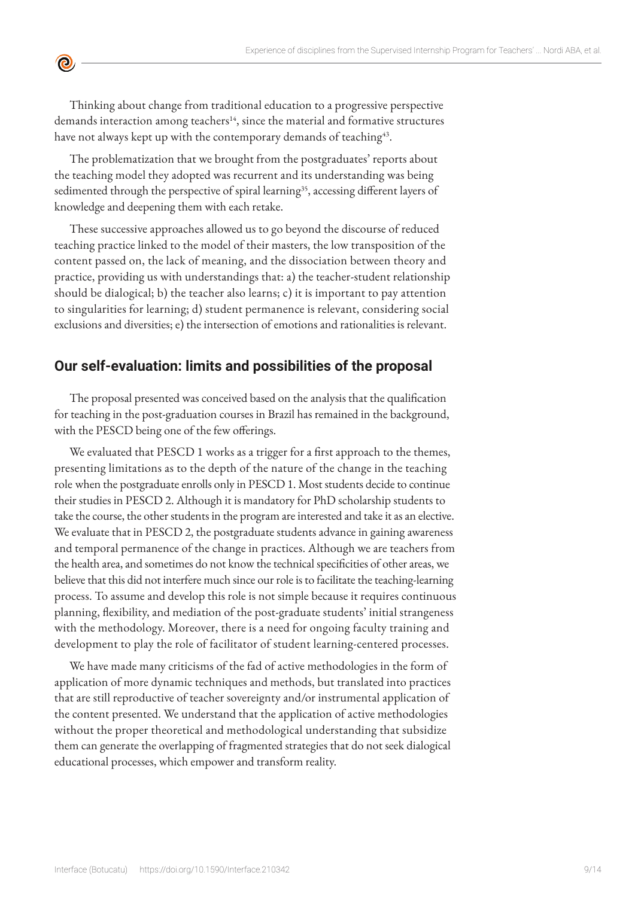Thinking about change from traditional education to a progressive perspective demands interaction among teachers<sup>14</sup>, since the material and formative structures have not always kept up with the contemporary demands of teaching<sup>43</sup>.

 $\bullet$ 

The problematization that we brought from the postgraduates' reports about the teaching model they adopted was recurrent and its understanding was being sedimented through the perspective of spiral learning<sup>35</sup>, accessing different layers of knowledge and deepening them with each retake.

These successive approaches allowed us to go beyond the discourse of reduced teaching practice linked to the model of their masters, the low transposition of the content passed on, the lack of meaning, and the dissociation between theory and practice, providing us with understandings that: a) the teacher-student relationship should be dialogical; b) the teacher also learns; c) it is important to pay attention to singularities for learning; d) student permanence is relevant, considering social exclusions and diversities; e) the intersection of emotions and rationalities is relevant.

## **Our self-evaluation: limits and possibilities of the proposal**

The proposal presented was conceived based on the analysis that the qualification for teaching in the post-graduation courses in Brazil has remained in the background, with the PESCD being one of the few offerings.

We evaluated that PESCD 1 works as a trigger for a first approach to the themes, presenting limitations as to the depth of the nature of the change in the teaching role when the postgraduate enrolls only in PESCD 1. Most students decide to continue their studies in PESCD 2. Although it is mandatory for PhD scholarship students to take the course, the other students in the program are interested and take it as an elective. We evaluate that in PESCD 2, the postgraduate students advance in gaining awareness and temporal permanence of the change in practices. Although we are teachers from the health area, and sometimes do not know the technical specificities of other areas, we believe that this did not interfere much since our role is to facilitate the teaching-learning process. To assume and develop this role is not simple because it requires continuous planning, flexibility, and mediation of the post-graduate students' initial strangeness with the methodology. Moreover, there is a need for ongoing faculty training and development to play the role of facilitator of student learning-centered processes.

We have made many criticisms of the fad of active methodologies in the form of application of more dynamic techniques and methods, but translated into practices that are still reproductive of teacher sovereignty and/or instrumental application of the content presented. We understand that the application of active methodologies without the proper theoretical and methodological understanding that subsidize them can generate the overlapping of fragmented strategies that do not seek dialogical educational processes, which empower and transform reality.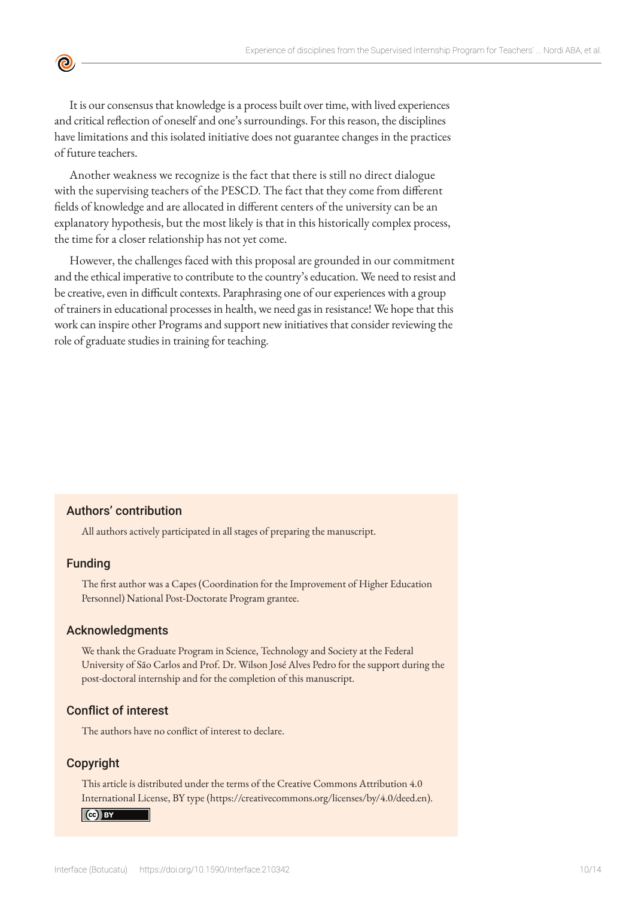

It is our consensus that knowledge is a process built over time, with lived experiences and critical reflection of oneself and one's surroundings. For this reason, the disciplines have limitations and this isolated initiative does not guarantee changes in the practices of future teachers.

Another weakness we recognize is the fact that there is still no direct dialogue with the supervising teachers of the PESCD. The fact that they come from different fields of knowledge and are allocated in different centers of the university can be an explanatory hypothesis, but the most likely is that in this historically complex process, the time for a closer relationship has not yet come.

However, the challenges faced with this proposal are grounded in our commitment and the ethical imperative to contribute to the country's education. We need to resist and be creative, even in difficult contexts. Paraphrasing one of our experiences with a group of trainers in educational processes in health, we need gas in resistance! We hope that this work can inspire other Programs and support new initiatives that consider reviewing the role of graduate studies in training for teaching.

#### Authors' contribution

All authors actively participated in all stages of preparing the manuscript.

#### Funding

The first author was a Capes (Coordination for the Improvement of Higher Education Personnel) National Post-Doctorate Program grantee.

#### Acknowledgments

We thank the Graduate Program in Science, Technology and Society at the Federal University of São Carlos and Prof. Dr. Wilson José Alves Pedro for the support during the post-doctoral internship and for the completion of this manuscript.

#### Conflict of interest

The authors have no conflict of interest to declare.

#### Copyright

This article is distributed under the terms of the Creative Commons Attribution 4.0 International License, BY type (https://creativecommons.org/licenses/by/4.0/deed.en).

#### $\left( \text{ce} \right)$  BY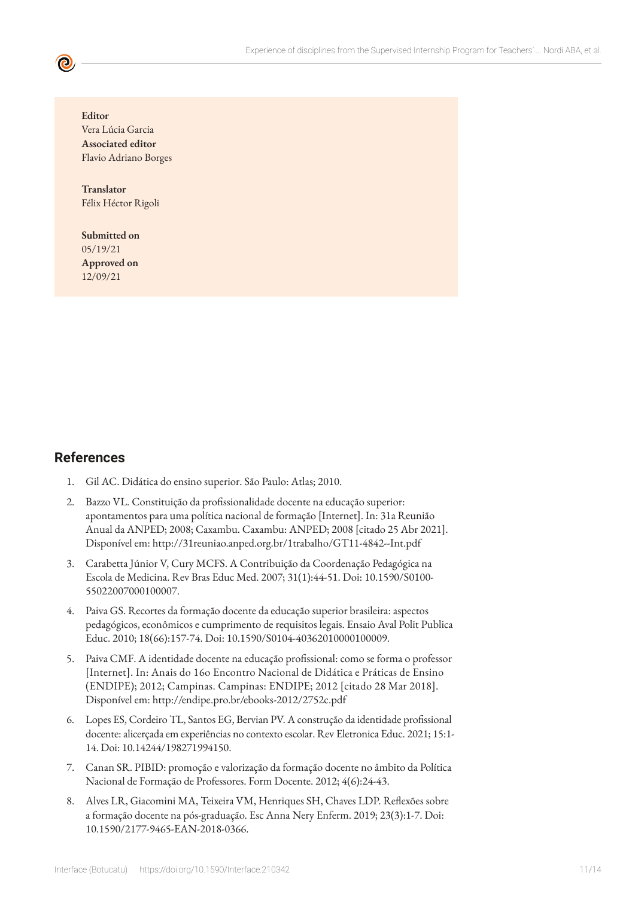**Editor** Vera Lúcia Garcia **Associated editor** Flavio Adriano Borges

**Translator** Félix Héctor Rigoli

**Submitted on** 05/19/21 **Approved on** 12/09/21

### **References**

- 1. Gil AC. Didática do ensino superior. São Paulo: Atlas; 2010.
- 2. Bazzo VL. Constituição da profissionalidade docente na educação superior: apontamentos para uma política nacional de formação [Internet]. In: 31a Reunião Anual da ANPED; 2008; Caxambu. Caxambu: ANPED; 2008 [citado 25 Abr 2021]. Disponível em: http://31reuniao.anped.org.br/1trabalho/GT11-4842--Int.pdf
- 3. Carabetta Júnior V, Cury MCFS. A Contribuição da Coordenação Pedagógica na Escola de Medicina. Rev Bras Educ Med. 2007; 31(1):44-51. Doi: 10.1590/S0100- 55022007000100007.
- 4. Paiva GS. Recortes da formação docente da educação superior brasileira: aspectos pedagógicos, econômicos e cumprimento de requisitos legais. Ensaio Aval Polit Publica Educ. 2010; 18(66):157-74. Doi: 10.1590/S0104-40362010000100009.
- 5. Paiva CMF. A identidade docente na educação profissional: como se forma o professor [Internet]. In: Anais do 16o Encontro Nacional de Didática e Práticas de Ensino (ENDIPE); 2012; Campinas. Campinas: ENDIPE; 2012 [citado 28 Mar 2018]. Disponível em: http://endipe.pro.br/ebooks-2012/2752c.pdf
- 6. Lopes ES, Cordeiro TL, Santos EG, Bervian PV. A construção da identidade profissional docente: alicerçada em experiências no contexto escolar. Rev Eletronica Educ. 2021; 15:1- 14. Doi: 10.14244/198271994150.
- 7. Canan SR. PIBID: promoção e valorização da formação docente no âmbito da Política Nacional de Formação de Professores. Form Docente. 2012; 4(6):24-43.
- 8. Alves LR, Giacomini MA, Teixeira VM, Henriques SH, Chaves LDP. Reflexões sobre a formação docente na pós-graduação. Esc Anna Nery Enferm. 2019; 23(3):1-7. Doi: 10.1590/2177-9465-EAN-2018-0366.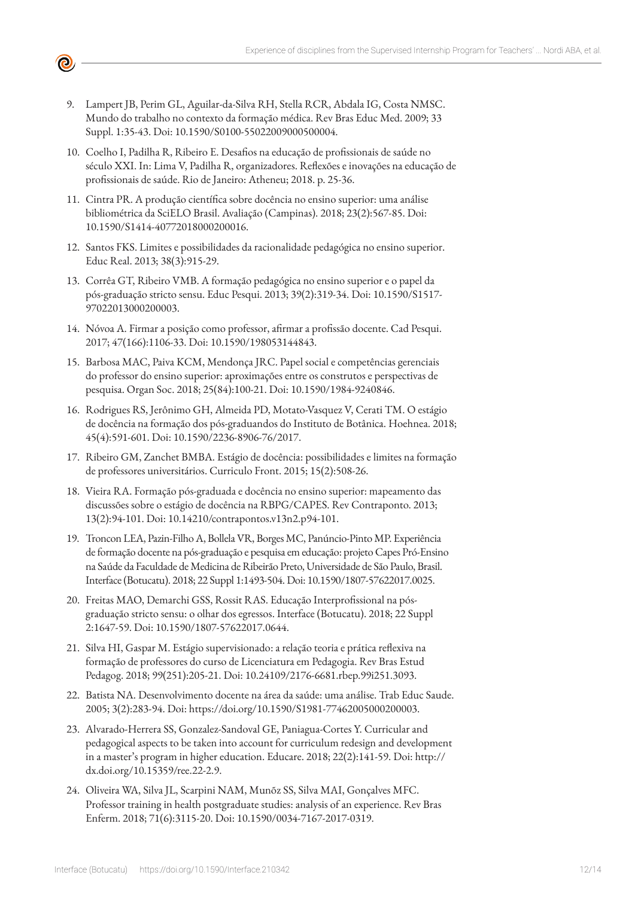

- 9. Lampert JB, Perim GL, Aguilar-da-Silva RH, Stella RCR, Abdala IG, Costa NMSC. Mundo do trabalho no contexto da formação médica. Rev Bras Educ Med. 2009; 33 Suppl. 1:35-43. Doi: 10.1590/S0100-55022009000500004.
- 10. Coelho I, Padilha R, Ribeiro E. Desafios na educação de profissionais de saúde no século XXI. In: Lima V, Padilha R, organizadores. Reflexões e inovações na educação de profissionais de saúde. Rio de Janeiro: Atheneu; 2018. p. 25-36.
- 11. Cintra PR. A produção científica sobre docência no ensino superior: uma análise bibliométrica da SciELO Brasil. Avaliação (Campinas). 2018; 23(2):567-85. Doi: 10.1590/S1414-40772018000200016.
- 12. Santos FKS. Limites e possibilidades da racionalidade pedagógica no ensino superior. Educ Real. 2013; 38(3):915-29.
- 13. Corrêa GT, Ribeiro VMB. A formação pedagógica no ensino superior e o papel da pós-graduação stricto sensu. Educ Pesqui. 2013; 39(2):319-34. Doi: 10.1590/S1517- 97022013000200003.
- 14. Nóvoa A. Firmar a posição como professor, afirmar a profissão docente. Cad Pesqui. 2017; 47(166):1106-33. Doi: 10.1590/198053144843.
- 15. Barbosa MAC, Paiva KCM, Mendonça JRC. Papel social e competências gerenciais do professor do ensino superior: aproximações entre os construtos e perspectivas de pesquisa. Organ Soc. 2018; 25(84):100-21. Doi: 10.1590/1984-9240846.
- 16. Rodrigues RS, Jerônimo GH, Almeida PD, Motato-Vasquez V, Cerati TM. O estágio de docência na formação dos pós-graduandos do Instituto de Botânica. Hoehnea. 2018; 45(4):591-601. Doi: 10.1590/2236-8906-76/2017.
- 17. Ribeiro GM, Zanchet BMBA. Estágio de docência: possibilidades e limites na formação de professores universitários. Curriculo Front. 2015; 15(2):508-26.
- 18. Vieira RA. Formação pós-graduada e docência no ensino superior: mapeamento das discussões sobre o estágio de docência na RBPG/CAPES. Rev Contraponto. 2013; 13(2):94-101. Doi: 10.14210/contrapontos.v13n2.p94-101.
- 19. Troncon LEA, Pazin-Filho A, Bollela VR, Borges MC, Panúncio-Pinto MP. Experiência de formação docente na pós-graduação e pesquisa em educação: projeto Capes Pró-Ensino na Saúde da Faculdade de Medicina de Ribeirão Preto, Universidade de São Paulo, Brasil. Interface (Botucatu). 2018; 22 Suppl 1:1493-504. Doi: 10.1590/1807-57622017.0025.
- 20. Freitas MAO, Demarchi GSS, Rossit RAS. Educação Interprofissional na pósgraduação stricto sensu: o olhar dos egressos. Interface (Botucatu). 2018; 22 Suppl 2:1647-59. Doi: 10.1590/1807-57622017.0644.
- 21. Silva HI, Gaspar M. Estágio supervisionado: a relação teoria e prática reflexiva na formação de professores do curso de Licenciatura em Pedagogia. Rev Bras Estud Pedagog. 2018; 99(251):205-21. Doi: 10.24109/2176-6681.rbep.99i251.3093.
- 22. Batista NA. Desenvolvimento docente na área da saúde: uma análise. Trab Educ Saude. 2005; 3(2):283-94. Doi: https://doi.org/10.1590/S1981-77462005000200003.
- 23. Alvarado-Herrera SS, Gonzalez-Sandoval GE, Paniagua-Cortes Y. Curricular and pedagogical aspects to be taken into account for curriculum redesign and development in a master's program in higher education. Educare. 2018; 22(2):141-59. Doi: http:// dx.doi.org/10.15359/ree.22-2.9.
- 24. Oliveira WA, Silva JL, Scarpini NAM, Munõz SS, Silva MAI, Gonçalves MFC. Professor training in health postgraduate studies: analysis of an experience. Rev Bras Enferm. 2018; 71(6):3115-20. D[oi: 10.1590/0034-7167-2017-0319](http://dx.doi.org/10.1590/0034-7167-2017-0319).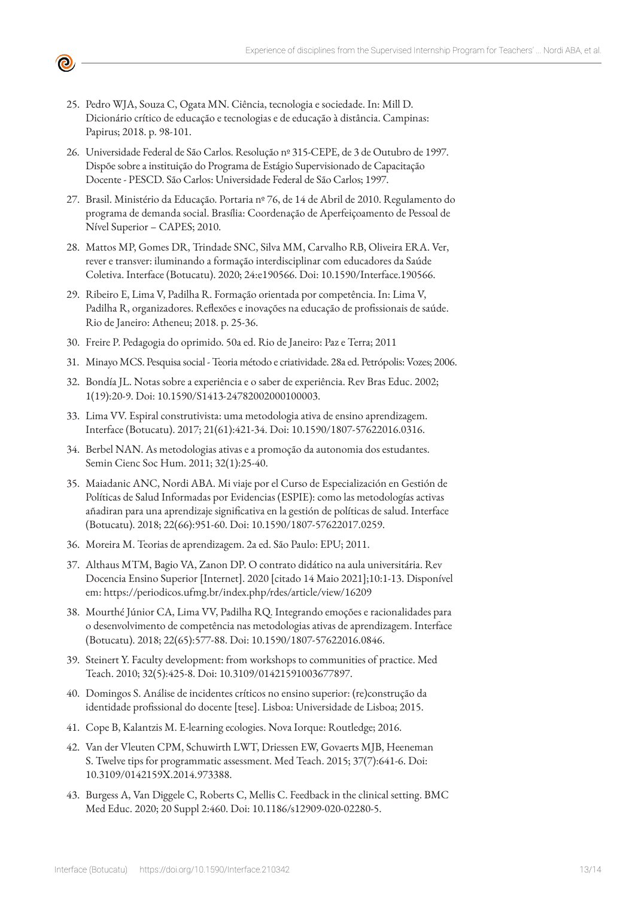

- 25. Pedro WJA, Souza C, Ogata MN. Ciência, tecnologia e sociedade. In: Mill D. Dicionário crítico de educação e tecnologias e de educação à distância. Campinas: Papirus; 2018. p. 98-101.
- 26. Universidade Federal de São Carlos. Resolução nº 315-CEPE, de 3 de Outubro de 1997. Dispõe sobre a instituição do Programa de Estágio Supervisionado de Capacitação Docente - PESCD. São Carlos: Universidade Federal de São Carlos; 1997.
- 27. Brasil. Ministério da Educação. Portaria nº 76, de 14 de Abril de 2010. Regulamento do programa de demanda social. Brasília: Coordenação de Aperfeiçoamento de Pessoal de Nível Superior – CAPES; 2010.
- 28. Mattos MP, Gomes DR, Trindade SNC, Silva MM, Carvalho RB, Oliveira ERA. Ver, rever e transver: iluminando a formação interdisciplinar com educadores da Saúde Coletiva. Interface (Botucatu). 2020; 24:e190566. Doi: 10.1590/Interface.190566.
- 29. Ribeiro E, Lima V, Padilha R. Formação orientada por competência. In: Lima V, Padilha R, organizadores. Reflexões e inovações na educação de profissionais de saúde. Rio de Janeiro: Atheneu; 2018. p. 25-36.
- 30. Freire P. Pedagogia do oprimido. 50a ed. Rio de Janeiro: Paz e Terra; 2011
- 31. Minayo MCS. Pesquisa social Teoria método e criatividade. 28a ed. Petrópolis: Vozes; 2006.
- 32. Bondía JL. Notas sobre a experiência e o saber de experiência. Rev Bras Educ. 2002; 1(19):20-9. Doi: 10.1590/S1413-24782002000100003.
- 33. Lima VV. Espiral construtivista: uma metodologia ativa de ensino aprendizagem. Interface (Botucatu). 2017; 21(61):421-34. Doi: 10.1590/1807-57622016.0316.
- 34. Berbel NAN. As metodologias ativas e a promoção da autonomia dos estudantes. Semin Cienc Soc Hum. 2011; 32(1):25-40.
- 35. Maiadanic ANC, Nordi ABA. Mi viaje por el Curso de Especialización en Gestión de Políticas de Salud Informadas por Evidencias (ESPIE): como las metodologías activas añadiran para una aprendizaje significativa en la gestión de políticas de salud. Interface (Botucatu). 2018; 22(66):951-60. Doi: 10.1590/1807-57622017.0259.
- 36. Moreira M. Teorias de aprendizagem. 2a ed. São Paulo: EPU; 2011.
- 37. Althaus MTM, Bagio VA, Zanon DP. O contrato didático na aula universitária. Rev Docencia Ensino Superior [Internet]. 2020 [citado 14 Maio 2021];10:1-13. Disponível em: https://periodicos.ufmg.br/index.php/rdes/article/view/16209
- 38. Mourthé Júnior CA, Lima VV, Padilha RQ. Integrando emoções e racionalidades para o desenvolvimento de competência nas metodologias ativas de aprendizagem. Interface (Botucatu). 2018; 22(65):577-88. Doi: 10.1590/1807-57622016.0846.
- 39. Steinert Y. Faculty development: from workshops to communities of practice. Med Teach. 2010; 32(5):425-8. Doi: 10.3109/01421591003677897.
- 40. Domingos S. Análise de incidentes críticos no ensino superior: (re)construção da identidade profissional do docente [tese]. Lisboa: Universidade de Lisboa; 2015.
- 41. Cope B, Kalantzis M. E-learning ecologies. Nova Iorque: Routledge; 2016.
- 42. Van der Vleuten CPM, Schuwirth LWT, Driessen EW, Govaerts MJB, Heeneman S. Twelve tips for programmatic assessment. Med Teach. 2015; 37(7):641-6. Doi: 10.3109/0142159X.2014.973388.
- 43. Burgess A, Van Diggele C, Roberts C, Mellis C. Feedback in the clinical setting. BMC Med Educ. 2020; 20 Suppl 2:460. Doi: 10.1186/s12909-020-02280-5.